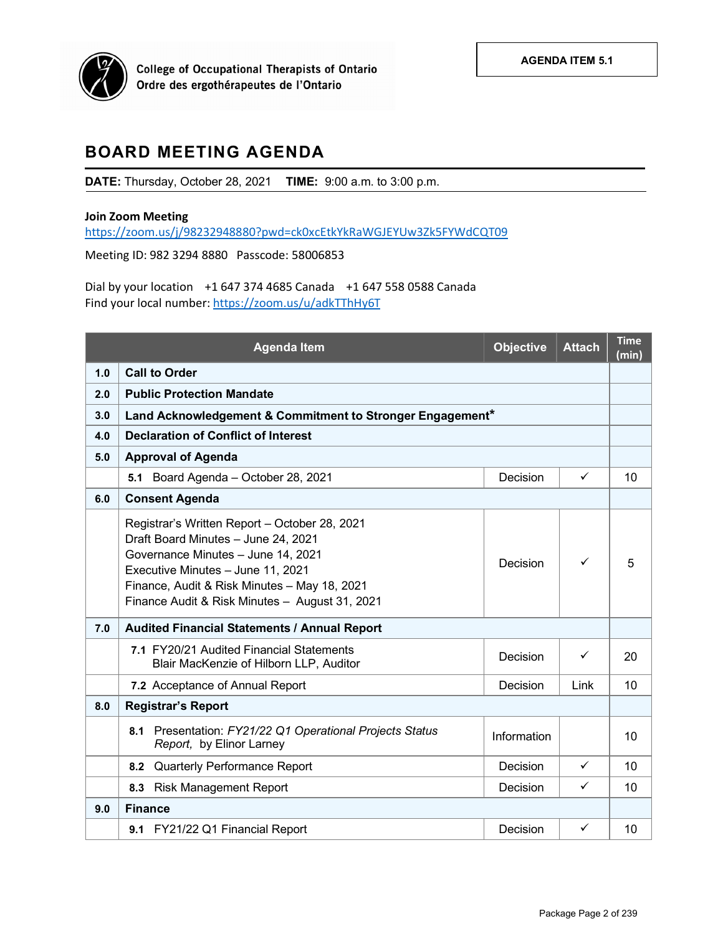

# **BOARD MEETING AGENDA**

**DATE:** Thursday, October 28, 2021 **TIME:** 9:00 a.m. to 3:00 p.m.

### **Join Zoom Meeting**

<https://zoom.us/j/98232948880?pwd=ck0xcEtkYkRaWGJEYUw3Zk5FYWdCQT09>

Meeting ID: 982 3294 8880 Passcode: 58006853

Dial by your location +1 647 374 4685 Canada +1 647 558 0588 Canada Find your local number[: https://zoom.us/u/adkTThHy6T](https://zoom.us/u/adkTThHy6T)

|     | <b>Agenda Item</b>                                                                                                                                                                                                                                                | <b>Objective</b> | <b>Attach</b> | <b>Time</b><br>(min) |  |
|-----|-------------------------------------------------------------------------------------------------------------------------------------------------------------------------------------------------------------------------------------------------------------------|------------------|---------------|----------------------|--|
| 1.0 | <b>Call to Order</b>                                                                                                                                                                                                                                              |                  |               |                      |  |
| 2.0 | <b>Public Protection Mandate</b>                                                                                                                                                                                                                                  |                  |               |                      |  |
| 3.0 | Land Acknowledgement & Commitment to Stronger Engagement*                                                                                                                                                                                                         |                  |               |                      |  |
| 4.0 | <b>Declaration of Conflict of Interest</b>                                                                                                                                                                                                                        |                  |               |                      |  |
| 5.0 | <b>Approval of Agenda</b>                                                                                                                                                                                                                                         |                  |               |                      |  |
|     | 5.1 Board Agenda - October 28, 2021                                                                                                                                                                                                                               | Decision         | ✓             | 10                   |  |
| 6.0 | <b>Consent Agenda</b>                                                                                                                                                                                                                                             |                  |               |                      |  |
|     | Registrar's Written Report - October 28, 2021<br>Draft Board Minutes - June 24, 2021<br>Governance Minutes - June 14, 2021<br>Executive Minutes - June 11, 2021<br>Finance, Audit & Risk Minutes - May 18, 2021<br>Finance Audit & Risk Minutes - August 31, 2021 | Decision         | ✓             | 5                    |  |
| 7.0 | Audited Financial Statements / Annual Report                                                                                                                                                                                                                      |                  |               |                      |  |
|     | 7.1 FY20/21 Audited Financial Statements<br>Blair MacKenzie of Hilborn LLP, Auditor                                                                                                                                                                               | Decision         | ✓             | 20                   |  |
|     | 7.2 Acceptance of Annual Report                                                                                                                                                                                                                                   | Decision         | Link          | 10                   |  |
| 8.0 | <b>Registrar's Report</b>                                                                                                                                                                                                                                         |                  |               |                      |  |
|     | Presentation: FY21/22 Q1 Operational Projects Status<br>8.1<br>Report, by Elinor Larney                                                                                                                                                                           | Information      |               | 10                   |  |
|     | 8.2 Quarterly Performance Report                                                                                                                                                                                                                                  | Decision         | $\checkmark$  | 10                   |  |
|     | 8.3 Risk Management Report                                                                                                                                                                                                                                        | Decision         | ✓             | 10                   |  |
| 9.0 | <b>Finance</b>                                                                                                                                                                                                                                                    |                  |               |                      |  |
|     | 9.1 FY21/22 Q1 Financial Report                                                                                                                                                                                                                                   | Decision         | ✓             | 10                   |  |